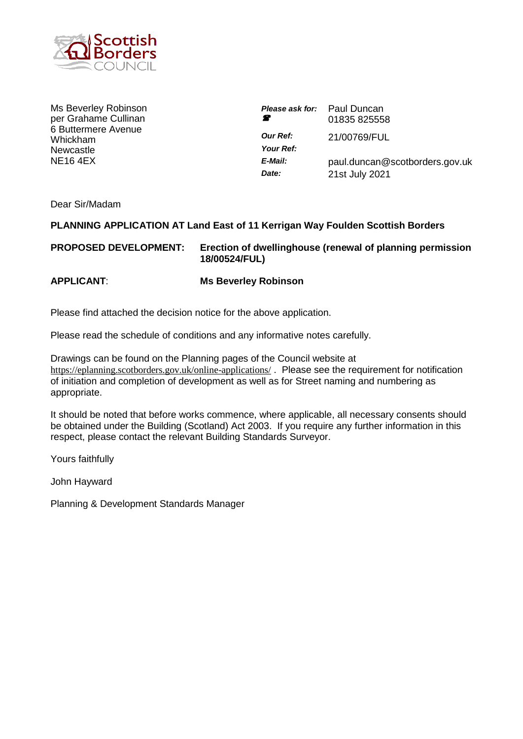

Ms Beverley Robinson per Grahame Cullinan 6 Buttermere Avenue Whickham Newcastle NE16 4EX

| <b>Please ask for:</b> Paul Duncan<br>Ŧ | 01835 825558                                     |
|-----------------------------------------|--------------------------------------------------|
| <b>Our Ref:</b><br>Your Ref:            | 21/00769/FUL                                     |
| E-Mail:<br>Date:                        | paul.duncan@scotborders.gov.uk<br>21st July 2021 |

Dear Sir/Madam

# **PLANNING APPLICATION AT Land East of 11 Kerrigan Way Foulden Scottish Borders**

**PROPOSED DEVELOPMENT: Erection of dwellinghouse (renewal of planning permission 18/00524/FUL)**

**APPLICANT**: **Ms Beverley Robinson**

Please find attached the decision notice for the above application.

Please read the schedule of conditions and any informative notes carefully.

Drawings can be found on the Planning pages of the Council website at <https://eplanning.scotborders.gov.uk/online-applications/>. Please see the requirement for notification of initiation and completion of development as well as for Street naming and numbering as appropriate.

It should be noted that before works commence, where applicable, all necessary consents should be obtained under the Building (Scotland) Act 2003. If you require any further information in this respect, please contact the relevant Building Standards Surveyor.

Yours faithfully

John Hayward

Planning & Development Standards Manager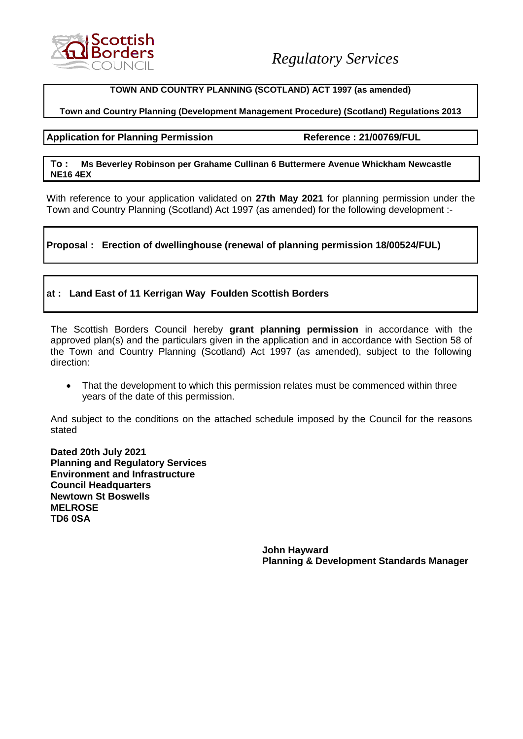

#### **TOWN AND COUNTRY PLANNING (SCOTLAND) ACT 1997 (as amended)**

### **Town and Country Planning (Development Management Procedure) (Scotland) Regulations 2013**

#### **Application for Planning Permission Reference : 21/00769/FUL**

#### **To : Ms Beverley Robinson per Grahame Cullinan 6 Buttermere Avenue Whickham Newcastle NE16 4EX**

With reference to your application validated on **27th May 2021** for planning permission under the Town and Country Planning (Scotland) Act 1997 (as amended) for the following development :-

# **Proposal : Erection of dwellinghouse (renewal of planning permission 18/00524/FUL)**

# **at : Land East of 11 Kerrigan Way Foulden Scottish Borders**

The Scottish Borders Council hereby **grant planning permission** in accordance with the approved plan(s) and the particulars given in the application and in accordance with Section 58 of the Town and Country Planning (Scotland) Act 1997 (as amended), subject to the following direction:

• That the development to which this permission relates must be commenced within three years of the date of this permission.

And subject to the conditions on the attached schedule imposed by the Council for the reasons stated

**Dated 20th July 2021 Planning and Regulatory Services Environment and Infrastructure Council Headquarters Newtown St Boswells MELROSE TD6 0SA**

> **John Hayward Planning & Development Standards Manager**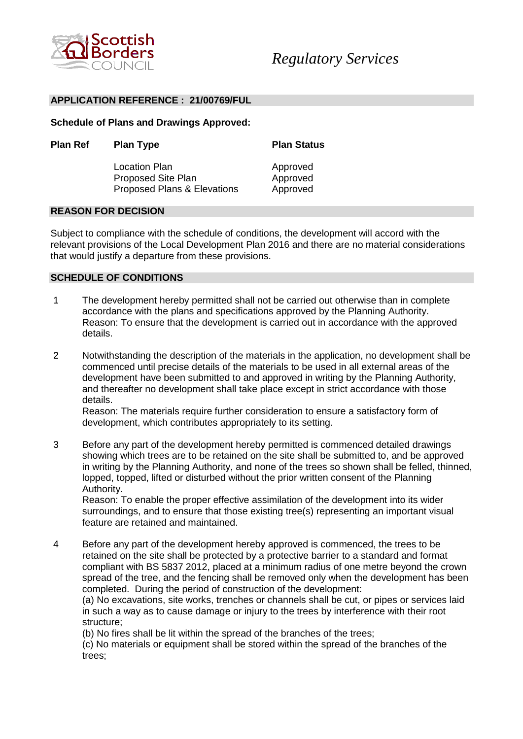

#### **APPLICATION REFERENCE : 21/00769/FUL**

**Schedule of Plans and Drawings Approved:**

| <b>Plan Ref</b> | <b>Plan Type</b>            | <b>Plan Status</b><br>Approved |
|-----------------|-----------------------------|--------------------------------|
|                 | Location Plan               |                                |
|                 | <b>Proposed Site Plan</b>   | Approved                       |
|                 | Proposed Plans & Elevations | Approved                       |

#### **REASON FOR DECISION**

Subject to compliance with the schedule of conditions, the development will accord with the relevant provisions of the Local Development Plan 2016 and there are no material considerations that would justify a departure from these provisions.

#### **SCHEDULE OF CONDITIONS**

- 1 The development hereby permitted shall not be carried out otherwise than in complete accordance with the plans and specifications approved by the Planning Authority. Reason: To ensure that the development is carried out in accordance with the approved details.
- 2 Notwithstanding the description of the materials in the application, no development shall be commenced until precise details of the materials to be used in all external areas of the development have been submitted to and approved in writing by the Planning Authority, and thereafter no development shall take place except in strict accordance with those details.

Reason: The materials require further consideration to ensure a satisfactory form of development, which contributes appropriately to its setting.

3 Before any part of the development hereby permitted is commenced detailed drawings showing which trees are to be retained on the site shall be submitted to, and be approved in writing by the Planning Authority, and none of the trees so shown shall be felled, thinned, lopped, topped, lifted or disturbed without the prior written consent of the Planning Authority.

Reason: To enable the proper effective assimilation of the development into its wider surroundings, and to ensure that those existing tree(s) representing an important visual feature are retained and maintained.

4 Before any part of the development hereby approved is commenced, the trees to be retained on the site shall be protected by a protective barrier to a standard and format compliant with BS 5837 2012, placed at a minimum radius of one metre beyond the crown spread of the tree, and the fencing shall be removed only when the development has been completed. During the period of construction of the development:

(a) No excavations, site works, trenches or channels shall be cut, or pipes or services laid in such a way as to cause damage or injury to the trees by interference with their root structure;

(b) No fires shall be lit within the spread of the branches of the trees;

(c) No materials or equipment shall be stored within the spread of the branches of the trees;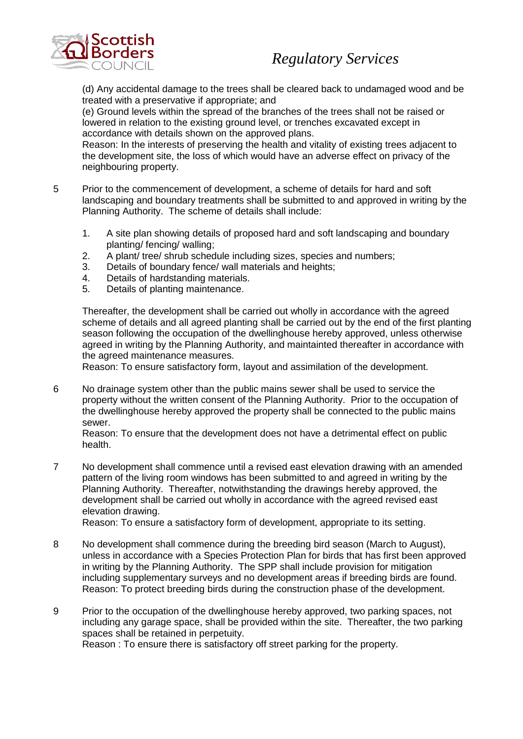

# *Regulatory Services*

(d) Any accidental damage to the trees shall be cleared back to undamaged wood and be treated with a preservative if appropriate; and

(e) Ground levels within the spread of the branches of the trees shall not be raised or lowered in relation to the existing ground level, or trenches excavated except in accordance with details shown on the approved plans.

Reason: In the interests of preserving the health and vitality of existing trees adjacent to the development site, the loss of which would have an adverse effect on privacy of the neighbouring property.

- 5 Prior to the commencement of development, a scheme of details for hard and soft landscaping and boundary treatments shall be submitted to and approved in writing by the Planning Authority. The scheme of details shall include:
	- 1. A site plan showing details of proposed hard and soft landscaping and boundary planting/ fencing/ walling;
	- 2. A plant/ tree/ shrub schedule including sizes, species and numbers;
	- 3. Details of boundary fence/ wall materials and heights;
	- 4. Details of hardstanding materials.
	- 5. Details of planting maintenance.

Thereafter, the development shall be carried out wholly in accordance with the agreed scheme of details and all agreed planting shall be carried out by the end of the first planting season following the occupation of the dwellinghouse hereby approved, unless otherwise agreed in writing by the Planning Authority, and maintainted thereafter in accordance with the agreed maintenance measures.

Reason: To ensure satisfactory form, layout and assimilation of the development.

6 No drainage system other than the public mains sewer shall be used to service the property without the written consent of the Planning Authority. Prior to the occupation of the dwellinghouse hereby approved the property shall be connected to the public mains sewer.

Reason: To ensure that the development does not have a detrimental effect on public health.

7 No development shall commence until a revised east elevation drawing with an amended pattern of the living room windows has been submitted to and agreed in writing by the Planning Authority. Thereafter, notwithstanding the drawings hereby approved, the development shall be carried out wholly in accordance with the agreed revised east elevation drawing.

Reason: To ensure a satisfactory form of development, appropriate to its setting.

- 8 No development shall commence during the breeding bird season (March to August), unless in accordance with a Species Protection Plan for birds that has first been approved in writing by the Planning Authority. The SPP shall include provision for mitigation including supplementary surveys and no development areas if breeding birds are found. Reason: To protect breeding birds during the construction phase of the development.
- 9 Prior to the occupation of the dwellinghouse hereby approved, two parking spaces, not including any garage space, shall be provided within the site. Thereafter, the two parking spaces shall be retained in perpetuity. Reason : To ensure there is satisfactory off street parking for the property.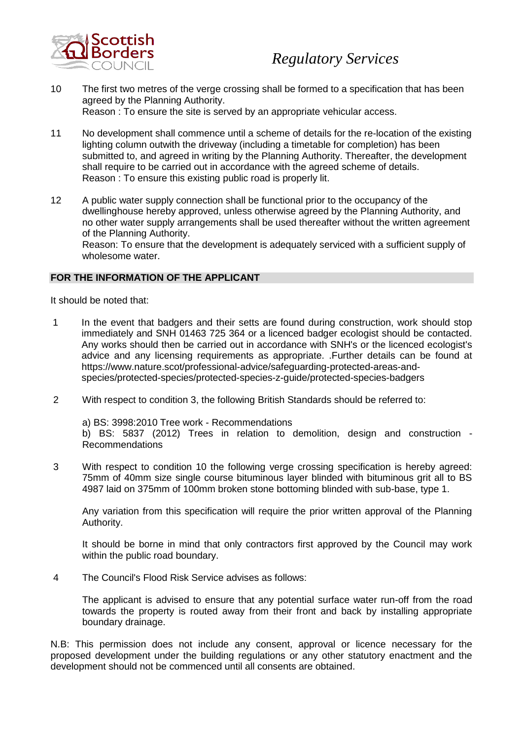

- 10 The first two metres of the verge crossing shall be formed to a specification that has been agreed by the Planning Authority. Reason : To ensure the site is served by an appropriate vehicular access.
- 11 No development shall commence until a scheme of details for the re-location of the existing lighting column outwith the driveway (including a timetable for completion) has been submitted to, and agreed in writing by the Planning Authority. Thereafter, the development shall require to be carried out in accordance with the agreed scheme of details. Reason : To ensure this existing public road is properly lit.
- 12 A public water supply connection shall be functional prior to the occupancy of the dwellinghouse hereby approved, unless otherwise agreed by the Planning Authority, and no other water supply arrangements shall be used thereafter without the written agreement of the Planning Authority.

Reason: To ensure that the development is adequately serviced with a sufficient supply of wholesome water.

# **FOR THE INFORMATION OF THE APPLICANT**

It should be noted that:

- 1 In the event that badgers and their setts are found during construction, work should stop immediately and SNH 01463 725 364 or a licenced badger ecologist should be contacted. Any works should then be carried out in accordance with SNH's or the licenced ecologist's advice and any licensing requirements as appropriate. .Further details can be found at https://www.nature.scot/professional-advice/safeguarding-protected-areas-andspecies/protected-species/protected-species-z-guide/protected-species-badgers
- 2 With respect to condition 3, the following British Standards should be referred to:

a) BS: 3998:2010 Tree work - Recommendations b) BS: 5837 (2012) Trees in relation to demolition, design and construction - Recommendations

3 With respect to condition 10 the following verge crossing specification is hereby agreed: 75mm of 40mm size single course bituminous layer blinded with bituminous grit all to BS 4987 laid on 375mm of 100mm broken stone bottoming blinded with sub-base, type 1.

Any variation from this specification will require the prior written approval of the Planning Authority.

It should be borne in mind that only contractors first approved by the Council may work within the public road boundary.

4 The Council's Flood Risk Service advises as follows:

The applicant is advised to ensure that any potential surface water run-off from the road towards the property is routed away from their front and back by installing appropriate boundary drainage.

N.B: This permission does not include any consent, approval or licence necessary for the proposed development under the building regulations or any other statutory enactment and the development should not be commenced until all consents are obtained.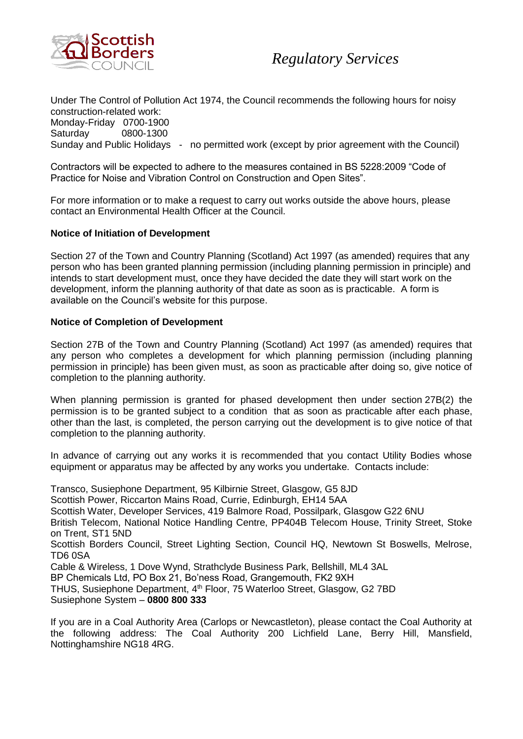

Under The Control of Pollution Act 1974, the Council recommends the following hours for noisy construction-related work:

Monday-Friday 0700-1900

Saturday 0800-1300

Sunday and Public Holidays - no permitted work (except by prior agreement with the Council)

Contractors will be expected to adhere to the measures contained in BS 5228:2009 "Code of Practice for Noise and Vibration Control on Construction and Open Sites".

For more information or to make a request to carry out works outside the above hours, please contact an Environmental Health Officer at the Council.

# **Notice of Initiation of Development**

Section 27 of the Town and Country Planning (Scotland) Act 1997 (as amended) requires that any person who has been granted planning permission (including planning permission in principle) and intends to start development must, once they have decided the date they will start work on the development, inform the planning authority of that date as soon as is practicable. A form is available on the Council's website for this purpose.

# **Notice of Completion of Development**

Section 27B of the Town and Country Planning (Scotland) Act 1997 (as amended) requires that any person who completes a development for which planning permission (including planning permission in principle) has been given must, as soon as practicable after doing so, give notice of completion to the planning authority.

When planning permission is granted for phased development then under section 27B(2) the permission is to be granted subject to a condition that as soon as practicable after each phase, other than the last, is completed, the person carrying out the development is to give notice of that completion to the planning authority.

In advance of carrying out any works it is recommended that you contact Utility Bodies whose equipment or apparatus may be affected by any works you undertake. Contacts include:

Transco, Susiephone Department, 95 Kilbirnie Street, Glasgow, G5 8JD

Scottish Power, Riccarton Mains Road, Currie, Edinburgh, EH14 5AA

Scottish Water, Developer Services, 419 Balmore Road, Possilpark, Glasgow G22 6NU

British Telecom, National Notice Handling Centre, PP404B Telecom House, Trinity Street, Stoke on Trent, ST1 5ND

Scottish Borders Council, Street Lighting Section, Council HQ, Newtown St Boswells, Melrose, TD6 0SA

Cable & Wireless, 1 Dove Wynd, Strathclyde Business Park, Bellshill, ML4 3AL

BP Chemicals Ltd, PO Box 21, Bo'ness Road, Grangemouth, FK2 9XH

THUS, Susiephone Department, 4<sup>th</sup> Floor, 75 Waterloo Street. Glasgow. G2 7BD Susiephone System – **0800 800 333**

If you are in a Coal Authority Area (Carlops or Newcastleton), please contact the Coal Authority at the following address: The Coal Authority 200 Lichfield Lane, Berry Hill, Mansfield, Nottinghamshire NG18 4RG.